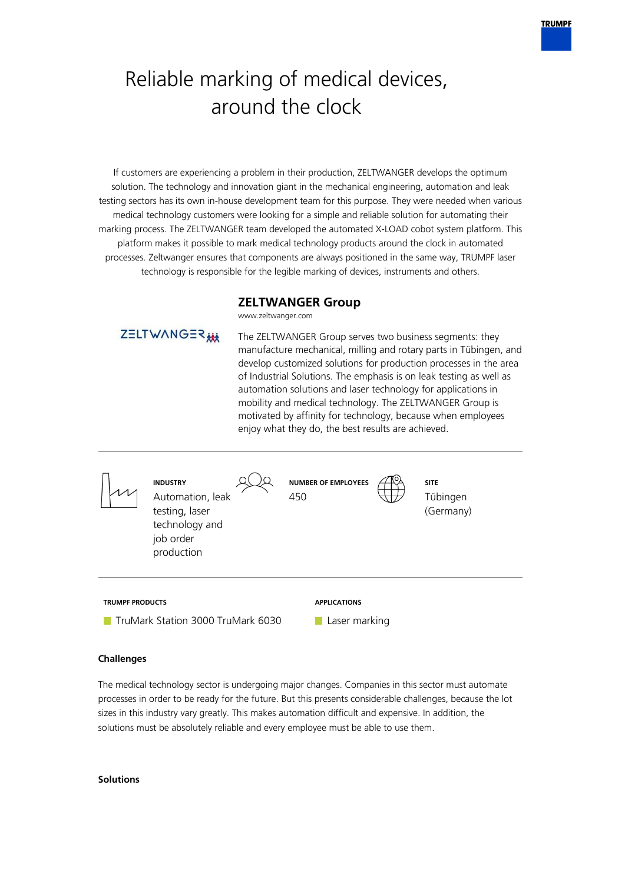# Reliable marking of medical devices, around the clock

If customers are experiencing a problem in their production, ZELTWANGER develops the optimum solution. The technology and innovation giant in the mechanical engineering, automation and leak testing sectors has its own in-house development team for this purpose. They were needed when various medical technology customers were looking for a simple and reliable solution for automating their marking process. The ZELTWANGER team developed the automated X-LOAD cobot system platform. This platform makes it possible to mark medical technology products around the clock in automated processes. Zeltwanger ensures that components are always positioned in the same way, TRUMPF laser technology is responsible for the legible marking of devices, instruments and others.

## **ZELTWANGER Group**

The ZELTWANGER Group serves two business segments: they

www.zeltwanger.com



**TruMark Station 3000 TruMark 6030** 

ZELTWANGER



Laser marking

## **Challenges**

The medical technology sector is undergoing major changes. Companies in this sector must automate processes in order to be ready for the future. But this presents considerable challenges, because the lot sizes in this industry vary greatly. This makes automation difficult and expensive. In addition, the solutions must be absolutely reliable and every employee must be able to use them.

#### **Solutions**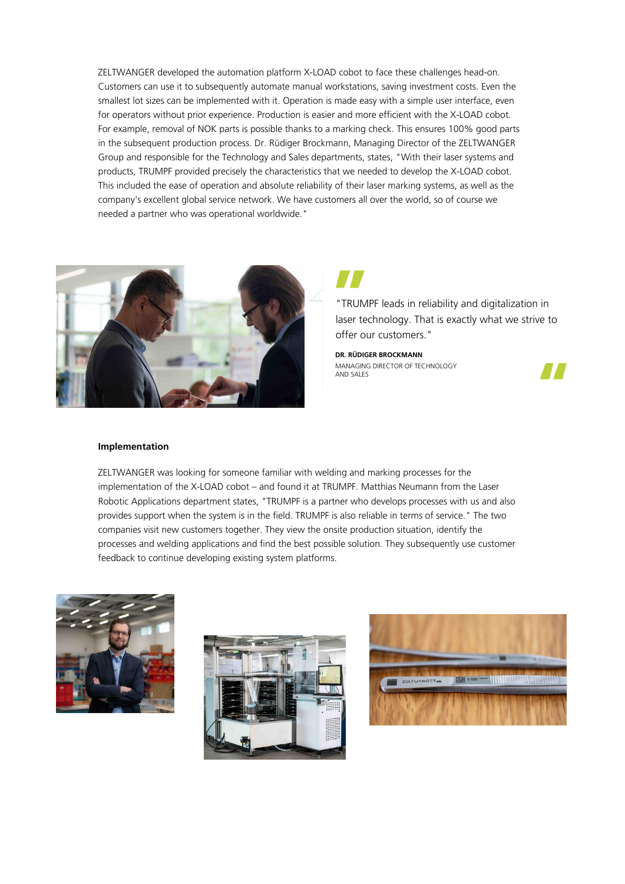ZELTWANGER developed the automation platform X-LOAD cobot to face these challenges head-on. Customers can use it to subsequently automate manual workstations, saving investment costs. Even the smallest lot sizes can be implemented with it. Operation is made easy with a simple user interface, even for operators without prior experience. Production is easier and more efficient with the X-LOAD cobot. For example, removal of NOK parts is possible thanks to a marking check. This ensures 100% good parts in the subsequent production process. Dr. Rüdiger Brockmann, Managing Director of the ZELTWANGER Group and responsible for the Technology and Sales departments, states, "With their laser systems and products, TRUMPF provided precisely the characteristics that we needed to develop the X-LOAD cobot. This included the ease of operation and absolute reliability of their laser marking systems, as well as the company's excellent global service network. We have customers all over the world, so of course we needed a partner who was operational worldwide."



"TRUMPF leads in reliability and digitalization in laser technology. That is exactly what we strive to offer our customers."

**DR. RÜDIGER BROCKMANN** MANAGING DIRECTOR OF TECHNOLOGY AND SALES



#### **Implementation**

ZELTWANGER was looking for someone familiar with welding and marking processes for the implementation of the X-LOAD cobot – and found it at TRUMPF. Matthias Neumann from the Laser Robotic Applications department states, "TRUMPF is a partner who develops processes with us and also provides support when the system is in the field. TRUMPF is also reliable in terms of service." The two companies visit new customers together. They view the onsite production situation, identify the processes and welding applications and find the best possible solution. They subsequently use customer feedback to continue developing existing system platforms.